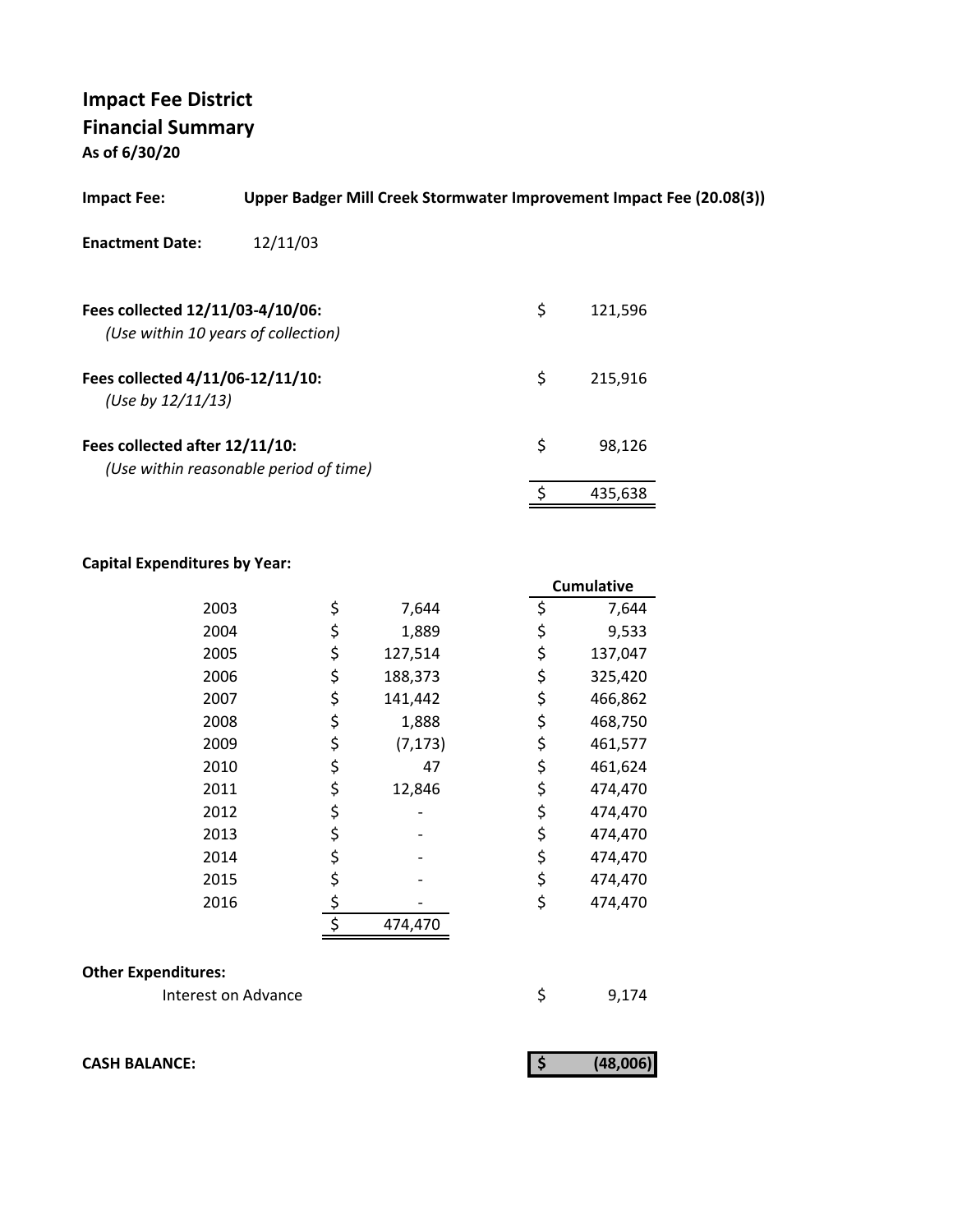**As of 6/30/20**

| <b>Impact Fee:</b>                                                      | Upper Badger Mill Creek Stormwater Improvement Impact Fee (20.08(3)) |               |  |
|-------------------------------------------------------------------------|----------------------------------------------------------------------|---------------|--|
| <b>Enactment Date:</b>                                                  | 12/11/03                                                             |               |  |
| Fees collected 12/11/03-4/10/06:<br>(Use within 10 years of collection) |                                                                      | \$<br>121,596 |  |
| Fees collected 4/11/06-12/11/10:<br>(Use by $12/11/13$ )                |                                                                      | \$<br>215,916 |  |
| Fees collected after 12/11/10:                                          | (Use within reasonable period of time)                               | \$<br>98.126  |  |
|                                                                         |                                                                      | 435,638       |  |

### **Capital Expenditures by Year:**

|      |                | <b>Cumulative</b> |
|------|----------------|-------------------|
| 2003 | \$<br>7,644    | \$<br>7,644       |
| 2004 | \$<br>1,889    | \$<br>9,533       |
| 2005 | \$<br>127,514  | \$<br>137,047     |
| 2006 | \$<br>188,373  | \$<br>325,420     |
| 2007 | \$<br>141,442  | \$<br>466,862     |
| 2008 | \$<br>1,888    | \$<br>468,750     |
| 2009 | \$<br>(7, 173) | \$<br>461,577     |
| 2010 | \$<br>47       | \$<br>461,624     |
| 2011 | \$<br>12,846   | \$<br>474,470     |
| 2012 | \$             | \$<br>474,470     |
| 2013 | \$             | \$<br>474,470     |
| 2014 | \$             | \$<br>474,470     |
| 2015 | \$             | \$<br>474,470     |
| 2016 | \$             | \$<br>474,470     |
|      | \$<br>474,470  |                   |

### **Other Expenditures:**

Interest on Advance \$9,174

**CASH BALANCE:** (48,006)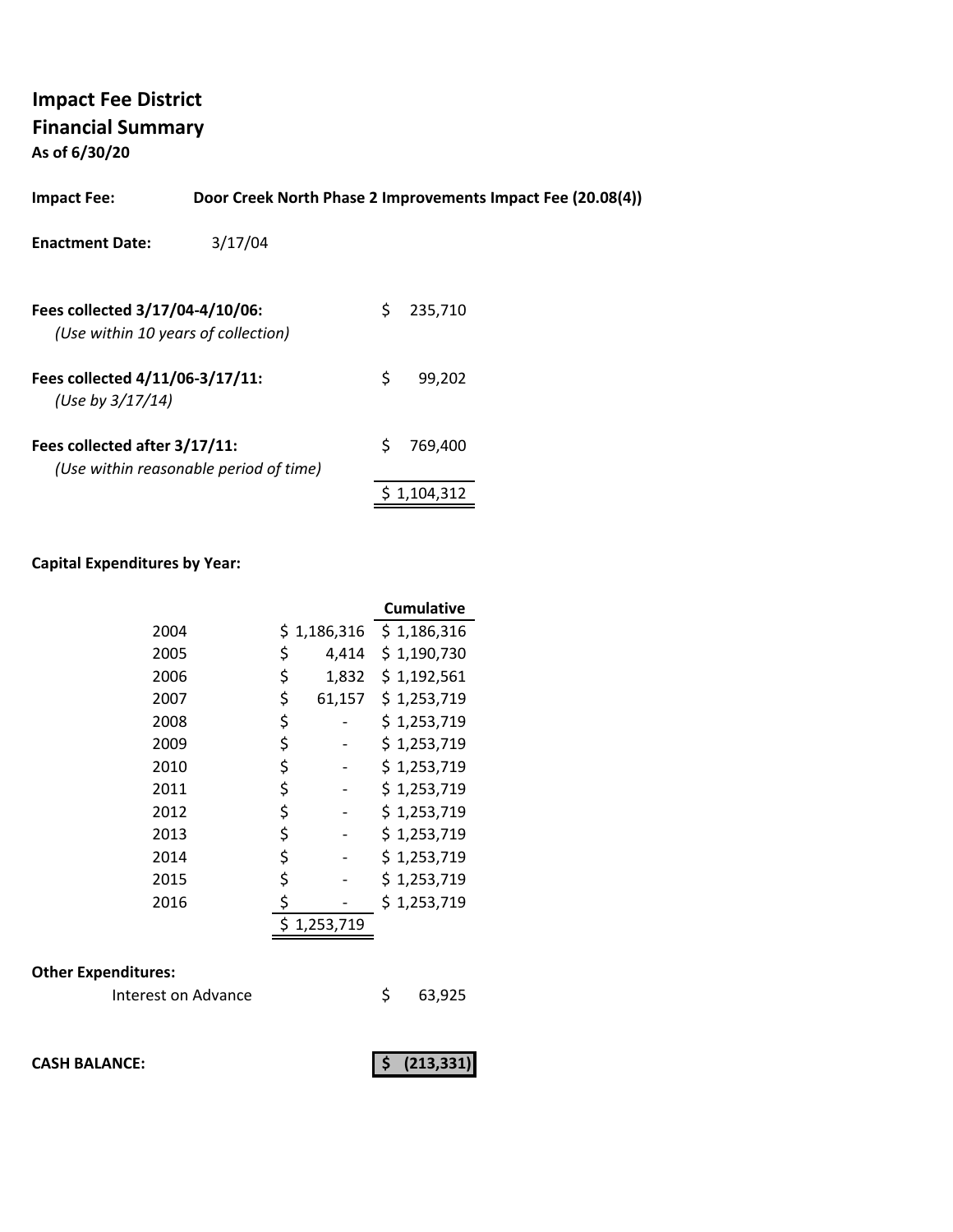**As of 6/30/20**

| <b>Impact Fee:</b>                                                     |                                        |    | Door Creek North Phase 2 Improvements Impact Fee (20.08(4)) |  |
|------------------------------------------------------------------------|----------------------------------------|----|-------------------------------------------------------------|--|
| <b>Enactment Date:</b>                                                 | 3/17/04                                |    |                                                             |  |
| Fees collected 3/17/04-4/10/06:<br>(Use within 10 years of collection) |                                        | Ś. | 235.710                                                     |  |
| Fees collected 4/11/06-3/17/11:<br>(Use by $3/17/14$ )                 |                                        | \$ | 99.202                                                      |  |
| Fees collected after 3/17/11:                                          | (Use within reasonable period of time) | Ś  | 769,400                                                     |  |

### **Capital Expenditures by Year:**

|      |              | <b>Cumulative</b> |
|------|--------------|-------------------|
| 2004 | \$1,186,316  | \$1,186,316       |
| 2005 | \$<br>4,414  | \$1,190,730       |
| 2006 | \$<br>1,832  | \$1,192,561       |
| 2007 | \$<br>61,157 | \$1,253,719       |
| 2008 | \$           | \$1,253,719       |
| 2009 | \$           | \$1,253,719       |
| 2010 | \$           | \$1,253,719       |
| 2011 | \$           | \$1,253,719       |
| 2012 | \$           | \$1,253,719       |
| 2013 | \$           | \$1,253,719       |
| 2014 | \$           | \$1,253,719       |
| 2015 | \$           | \$1,253,719       |
| 2016 | \$           | \$1,253,719       |
|      | 1,253,719    |                   |

### **Other Expenditures:**

| Interest on Advance | 63,925 |
|---------------------|--------|
|---------------------|--------|

**CASH BALANCE:** (213,331)

 $$ 1,104,312$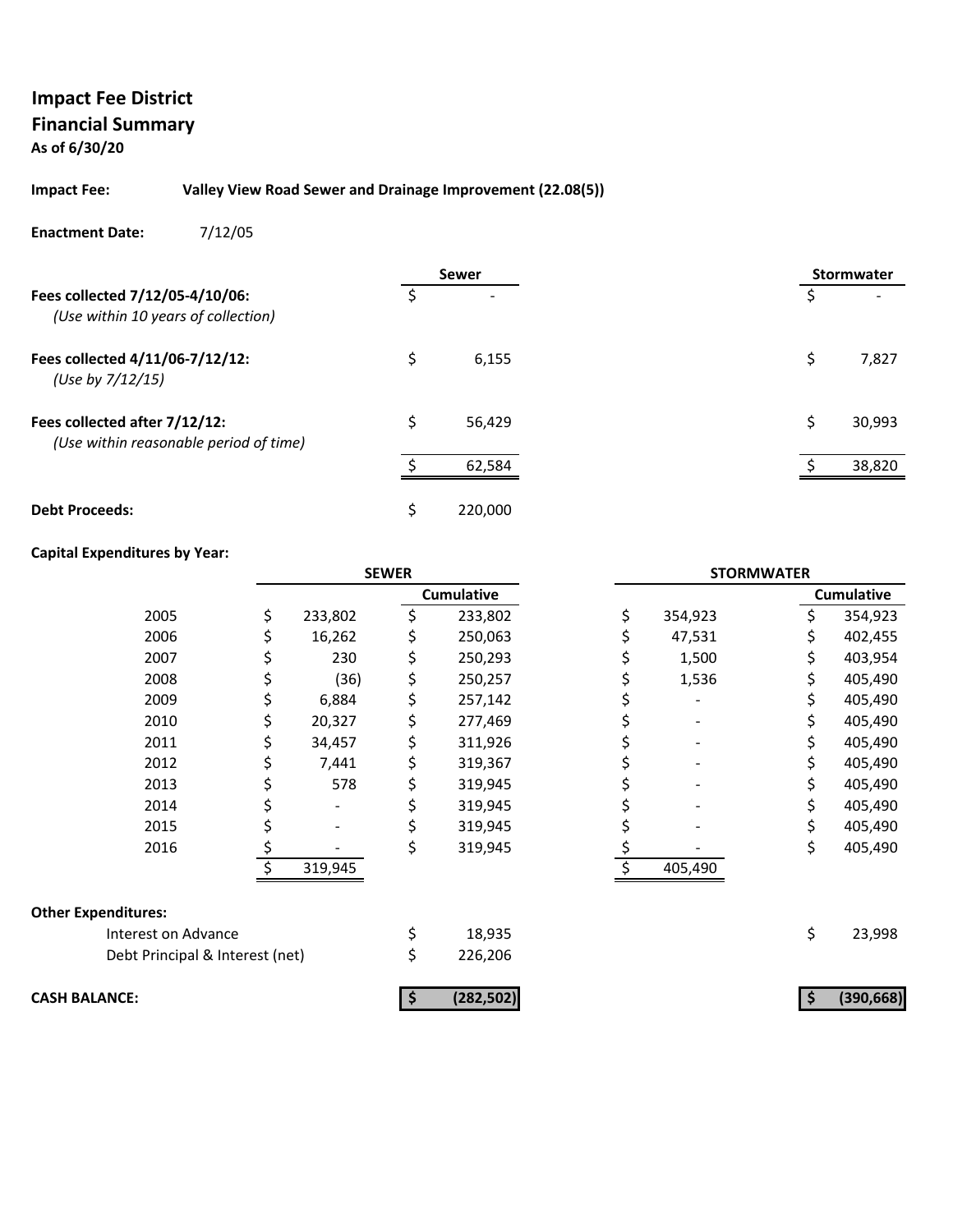### **As of 6/30/20**

### **Impact Fee: Valley View Road Sewer and Drainage Improvement (22.08(5))**

#### **Enactment Date:** 7/12/05

|                                                                         |    | <b>Sewer</b> |  |    | <b>Stormwater</b> |
|-------------------------------------------------------------------------|----|--------------|--|----|-------------------|
| Fees collected 7/12/05-4/10/06:<br>(Use within 10 years of collection)  |    |              |  | \$ |                   |
| Fees collected 4/11/06-7/12/12:<br>(Use by 7/12/15)                     | Ś  | 6,155        |  | Ś  | 7,827             |
| Fees collected after 7/12/12:<br>(Use within reasonable period of time) | Ŝ. | 56,429       |  | Ś. | 30,993            |
|                                                                         | ¢  | 62,584       |  |    | 38,820            |
| <b>Debt Proceeds:</b>                                                   | \$ | 220,000      |  |    |                   |

#### **Capital Expenditures by Year:**

|                                 |    |         | <b>SEWER</b> |                   |               | <b>STORMWATER</b> |                   |
|---------------------------------|----|---------|--------------|-------------------|---------------|-------------------|-------------------|
|                                 |    |         |              | <b>Cumulative</b> |               |                   | <b>Cumulative</b> |
| 2005                            | \$ | 233,802 | \$           | 233,802           | \$<br>354,923 |                   | 354,923           |
| 2006                            |    | 16,262  |              | 250,063           | 47,531        |                   | 402,455           |
| 2007                            |    | 230     | \$           | 250,293           | 1,500         |                   | 403,954           |
| 2008                            |    | (36)    | \$           | 250,257           | 1,536         |                   | 405,490           |
| 2009                            | Ş  | 6,884   | \$           | 257,142           |               | S                 | 405,490           |
| 2010                            |    | 20,327  | \$           | 277,469           |               |                   | 405,490           |
| 2011                            | S  | 34,457  | \$           | 311,926           |               |                   | 405,490           |
| 2012                            | \$ | 7,441   | \$           | 319,367           |               |                   | 405,490           |
| 2013                            | Ş  | 578     | \$           | 319,945           |               | S.                | 405,490           |
| 2014                            |    |         |              | 319,945           |               |                   | 405,490           |
| 2015                            |    |         | \$           | 319,945           |               | \$                | 405,490           |
| 2016                            | \$ |         | \$           | 319,945           |               | \$                | 405,490           |
|                                 |    | 319,945 |              |                   | 405,490       |                   |                   |
| <b>Other Expenditures:</b>      |    |         |              |                   |               |                   |                   |
| Interest on Advance             |    |         | \$           | 18,935            |               | \$                | 23,998            |
| Debt Principal & Interest (net) |    |         | \$           | 226,206           |               |                   |                   |
| <b>CASH BALANCE:</b>            |    |         |              | (282, 502)        |               |                   | (390, 668)        |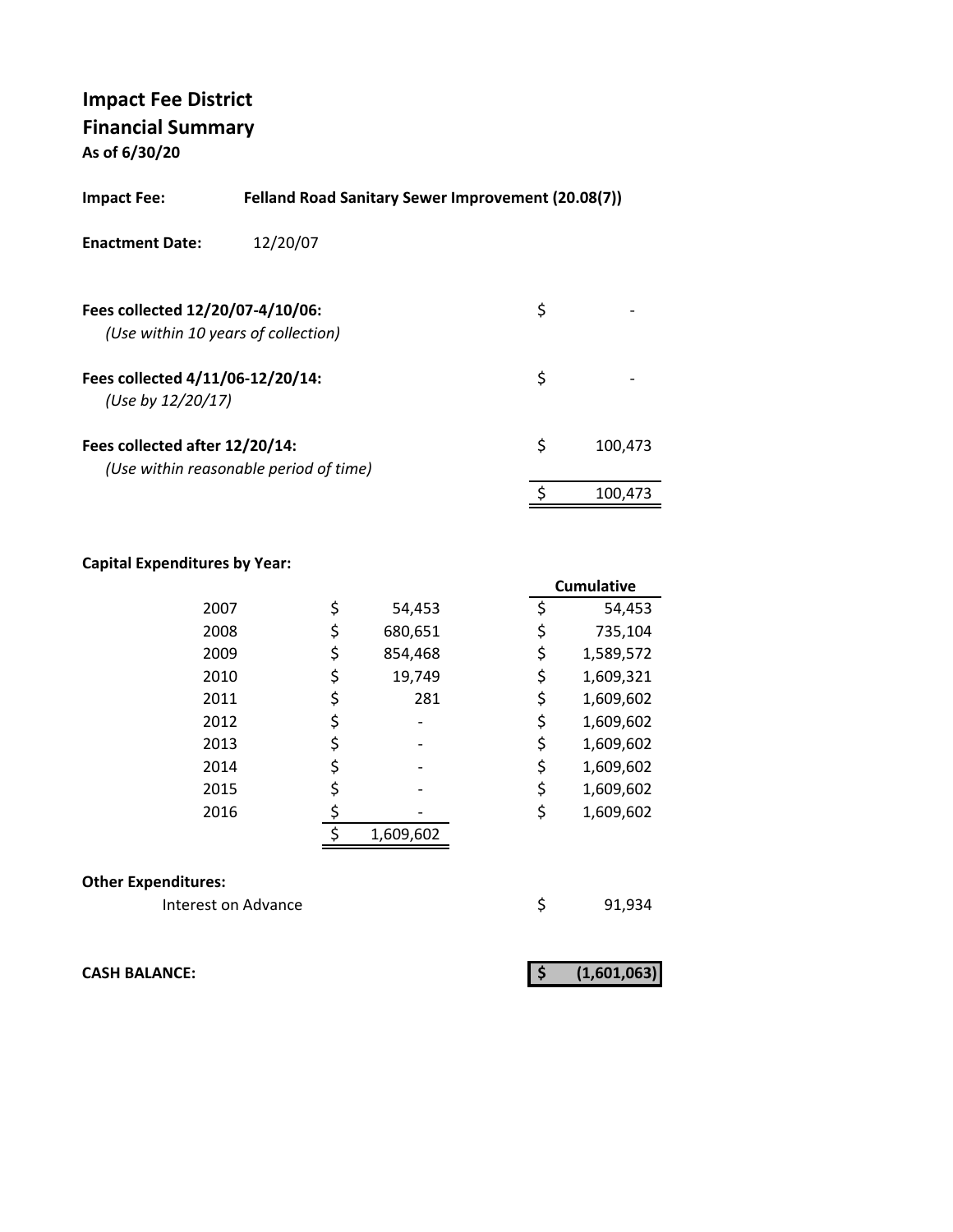**As of 6/30/20**

| <b>Impact Fee:</b>                                    | <b>Felland Road Sanitary Sewer Improvement (20.08(7))</b> |    |         |
|-------------------------------------------------------|-----------------------------------------------------------|----|---------|
| <b>Enactment Date:</b>                                | 12/20/07                                                  |    |         |
| Fees collected 12/20/07-4/10/06:                      | (Use within 10 years of collection)                       | \$ |         |
| Fees collected 4/11/06-12/20/14:<br>(Use by 12/20/17) |                                                           | \$ |         |
| Fees collected after 12/20/14:                        | (Use within reasonable period of time)                    | \$ | 100.473 |
|                                                       |                                                           | \$ | 100.473 |

### **Capital Expenditures by Year:**

|      |               |    | <b>Cumulative</b> |
|------|---------------|----|-------------------|
| 2007 | \$<br>54,453  | \$ | 54,453            |
| 2008 | \$<br>680,651 | \$ | 735,104           |
| 2009 | \$<br>854,468 | \$ | 1,589,572         |
| 2010 | \$<br>19,749  | \$ | 1,609,321         |
| 2011 | \$<br>281     | \$ | 1,609,602         |
| 2012 | \$            | \$ | 1,609,602         |
| 2013 | \$            | \$ | 1,609,602         |
| 2014 | \$            | \$ | 1,609,602         |
| 2015 | \$            | \$ | 1,609,602         |
| 2016 |               | \$ | 1,609,602         |
|      | 1,609,602     |    |                   |

#### **Other Expenditures:**

Interest on Advance **1920** \$91,934

**CASH BALANCE:** (1,601,063)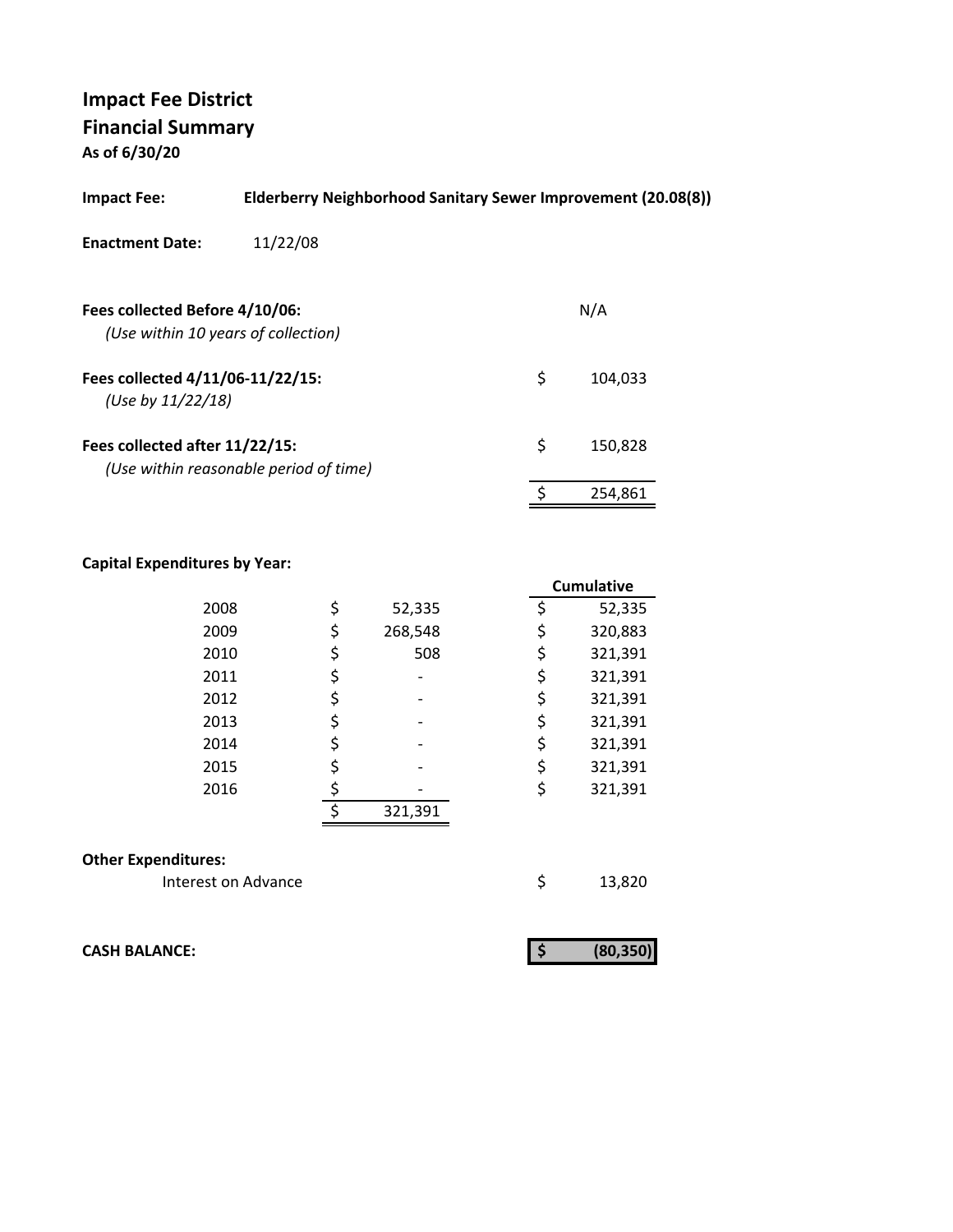**As of 6/30/20**

| Impact Fee:                                                           | Elderberry Neighborhood Sanitary Sewer Improvement (20.08(8)) |               |
|-----------------------------------------------------------------------|---------------------------------------------------------------|---------------|
| <b>Enactment Date:</b>                                                | 11/22/08                                                      |               |
| Fees collected Before 4/10/06:<br>(Use within 10 years of collection) |                                                               | N/A           |
| Fees collected 4/11/06-11/22/15:<br>(Use by $11/22/18$ )              |                                                               | \$<br>104,033 |
| Fees collected after 11/22/15:                                        | (Use within reasonable period of time)                        | \$<br>150,828 |
|                                                                       |                                                               | 254.861       |
|                                                                       |                                                               |               |

### **Capital Expenditures by Year:**

|                            |    |         | <b>Cumulative</b> |
|----------------------------|----|---------|-------------------|
| 2008                       | \$ | 52,335  | \$<br>52,335      |
| 2009                       | \$ | 268,548 | \$<br>320,883     |
| 2010                       | \$ | 508     | \$<br>321,391     |
| 2011                       | \$ |         | \$<br>321,391     |
| 2012                       | \$ |         | \$<br>321,391     |
| 2013                       | \$ |         | \$<br>321,391     |
| 2014                       | \$ |         | \$<br>321,391     |
| 2015                       | \$ |         | \$<br>321,391     |
| 2016                       | \$ |         | \$<br>321,391     |
|                            | ¢  | 321,391 |                   |
| <b>Other Expenditures:</b> |    |         |                   |
| Interest on Advance        |    |         | \$<br>13,820      |

**CASH BALANCE: (80,350) \$** 

|--|--|--|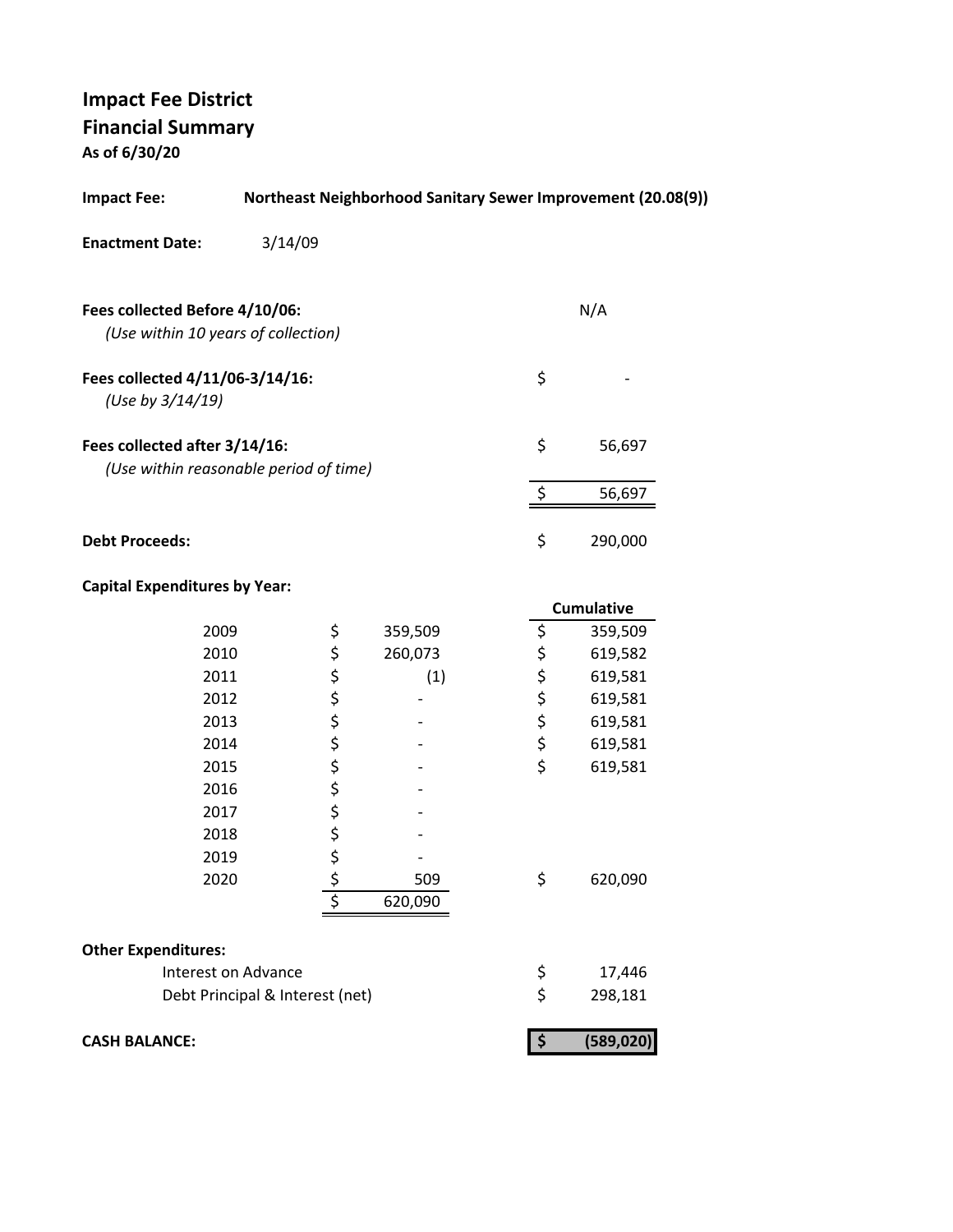**As of 6/30/20**

| <b>Impact Fee:</b>                                                      | Northeast Neighborhood Sanitary Sewer Improvement (20.08(9)) |         |          |            |  |
|-------------------------------------------------------------------------|--------------------------------------------------------------|---------|----------|------------|--|
| <b>Enactment Date:</b>                                                  | 3/14/09                                                      |         |          |            |  |
| Fees collected Before 4/10/06:<br>(Use within 10 years of collection)   |                                                              |         |          | N/A        |  |
| Fees collected 4/11/06-3/14/16:<br>(Use by 3/14/19)                     |                                                              |         | \$       |            |  |
| Fees collected after 3/14/16:<br>(Use within reasonable period of time) |                                                              |         | \$       | 56,697     |  |
|                                                                         |                                                              |         | \$       | 56,697     |  |
| <b>Debt Proceeds:</b>                                                   |                                                              |         | \$       | 290,000    |  |
| <b>Capital Expenditures by Year:</b>                                    |                                                              |         |          |            |  |
|                                                                         |                                                              |         |          | Cumulative |  |
| 2009                                                                    | \$                                                           | 359,509 | \$       | 359,509    |  |
| 2010                                                                    | \$                                                           | 260,073 | ややみ      | 619,582    |  |
| 2011                                                                    | ぐぐぐら                                                         | (1)     |          | 619,581    |  |
| 2012                                                                    |                                                              |         |          | 619,581    |  |
| 2013                                                                    |                                                              |         |          | 619,581    |  |
| 2014                                                                    |                                                              |         |          | 619,581    |  |
| 2015                                                                    |                                                              |         | \$       | 619,581    |  |
| 2016                                                                    |                                                              |         |          |            |  |
| 2017                                                                    | \$\$\$                                                       |         |          |            |  |
| 2018                                                                    |                                                              |         |          |            |  |
| 2019                                                                    |                                                              |         |          |            |  |
| 2020                                                                    | ج<br>\$                                                      | 509     | \$       | 620,090    |  |
|                                                                         |                                                              | 620,090 |          |            |  |
| <b>Other Expenditures:</b>                                              |                                                              |         |          |            |  |
| Interest on Advance                                                     |                                                              |         |          | 17,446     |  |
|                                                                         | Debt Principal & Interest (net)                              |         | \$<br>\$ | 298,181    |  |
| <b>CASH BALANCE:</b>                                                    |                                                              |         | \$       | (589, 020) |  |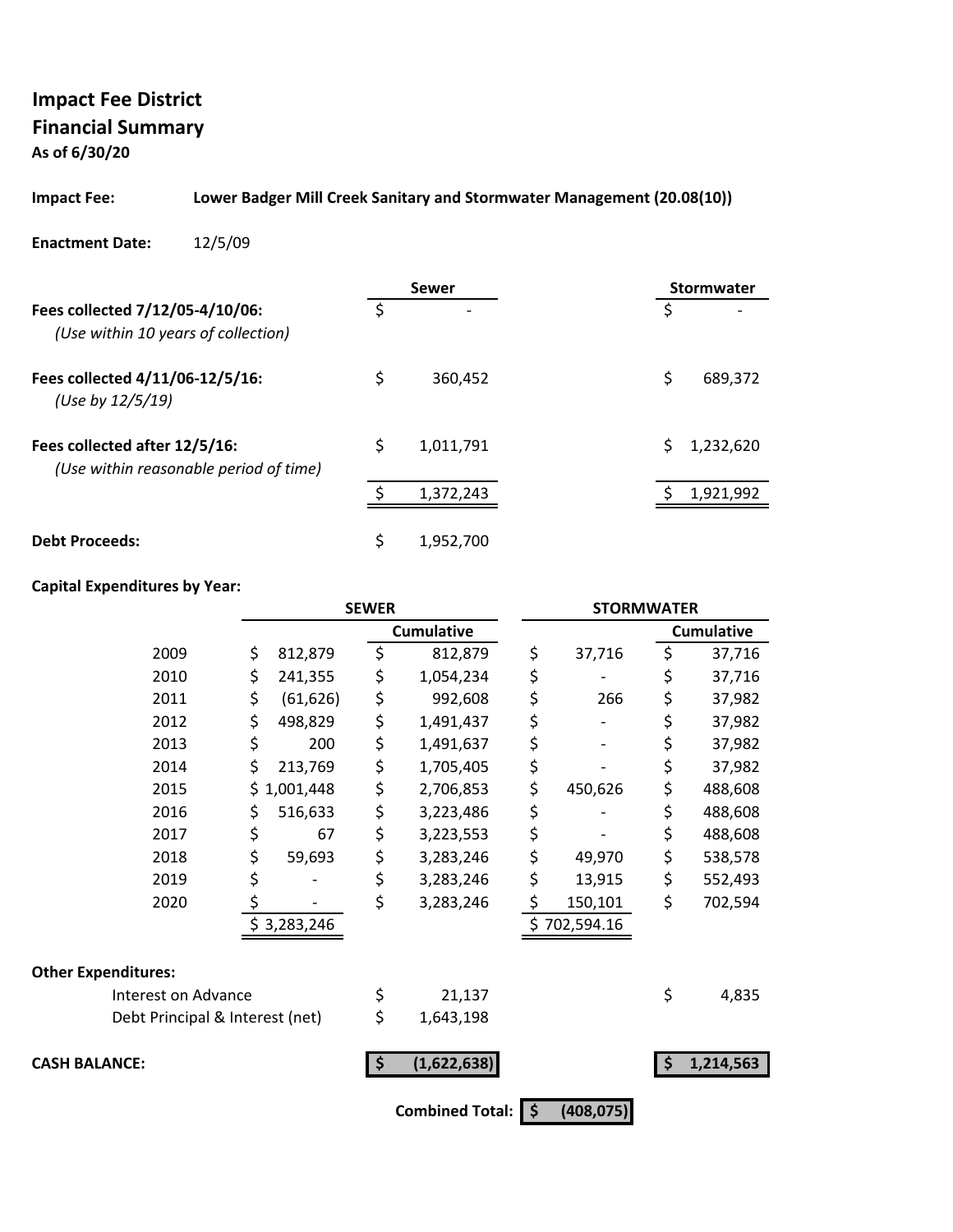**As of 6/30/20**

#### **Impact Fee: Lower Badger Mill Creek Sanitary and Stormwater Management (20.08(10))**

**Enactment Date:** 12/5/09

|                                                                         |    | Sewer                    | <b>Stormwater</b> |
|-------------------------------------------------------------------------|----|--------------------------|-------------------|
| Fees collected 7/12/05-4/10/06:<br>(Use within 10 years of collection)  | Ś  | $\overline{\phantom{0}}$ | \$                |
| Fees collected 4/11/06-12/5/16:<br>(Use by 12/5/19)                     | \$ | 360.452                  | \$<br>689,372     |
| Fees collected after 12/5/16:<br>(Use within reasonable period of time) | \$ | 1,011,791                | 1,232,620         |
|                                                                         |    | 1,372,243                | 1,921,992         |
| <b>Debt Proceeds:</b>                                                   | \$ | 1.952.700                |                   |

### **Capital Expenditures by Year:**

|                                 | <b>SEWER</b>    |    | <b>STORMWATER</b> |               |                      |                   |
|---------------------------------|-----------------|----|-------------------|---------------|----------------------|-------------------|
|                                 |                 |    | <b>Cumulative</b> |               |                      | <b>Cumulative</b> |
| 2009                            | \$<br>812,879   | \$ | 812,879           | \$<br>37,716  | \$                   | 37,716            |
| 2010                            | \$<br>241,355   | \$ | 1,054,234         | \$            | \$                   | 37,716            |
| 2011                            | \$<br>(61, 626) | \$ | 992,608           | \$<br>266     | \$                   | 37,982            |
| 2012                            | \$<br>498,829   | \$ | 1,491,437         | \$            | \$                   | 37,982            |
| 2013                            | \$<br>200       | \$ | 1,491,637         | \$            | \$                   | 37,982            |
| 2014                            | \$<br>213,769   | \$ | 1,705,405         | \$            | \$                   | 37,982            |
| 2015                            | \$1,001,448     | \$ | 2,706,853         | \$<br>450,626 | \$                   | 488,608           |
| 2016                            | \$<br>516,633   | \$ | 3,223,486         | \$            | \$                   | 488,608           |
| 2017                            | \$<br>67        | \$ | 3,223,553         | \$            | \$                   | 488,608           |
| 2018                            | \$<br>59,693    | \$ | 3,283,246         | \$<br>49,970  | \$                   | 538,578           |
| 2019                            | \$              | \$ | 3,283,246         | \$<br>13,915  | \$                   | 552,493           |
| 2020                            | \$              | \$ | 3,283,246         | \$<br>150,101 | \$                   | 702,594           |
|                                 | \$3,283,246     |    |                   | \$702,594.16  |                      |                   |
| <b>Other Expenditures:</b>      |                 |    |                   |               |                      |                   |
| Interest on Advance             |                 | \$ | 21,137            |               | \$                   | 4,835             |
| Debt Principal & Interest (net) |                 | \$ | 1,643,198         |               |                      |                   |
| <b>CASH BALANCE:</b>            |                 | 5  | (1,622,638)       |               | $\boldsymbol{\zeta}$ | 1,214,563         |
|                                 |                 |    | Combined Total: S | (408, 075)    |                      |                   |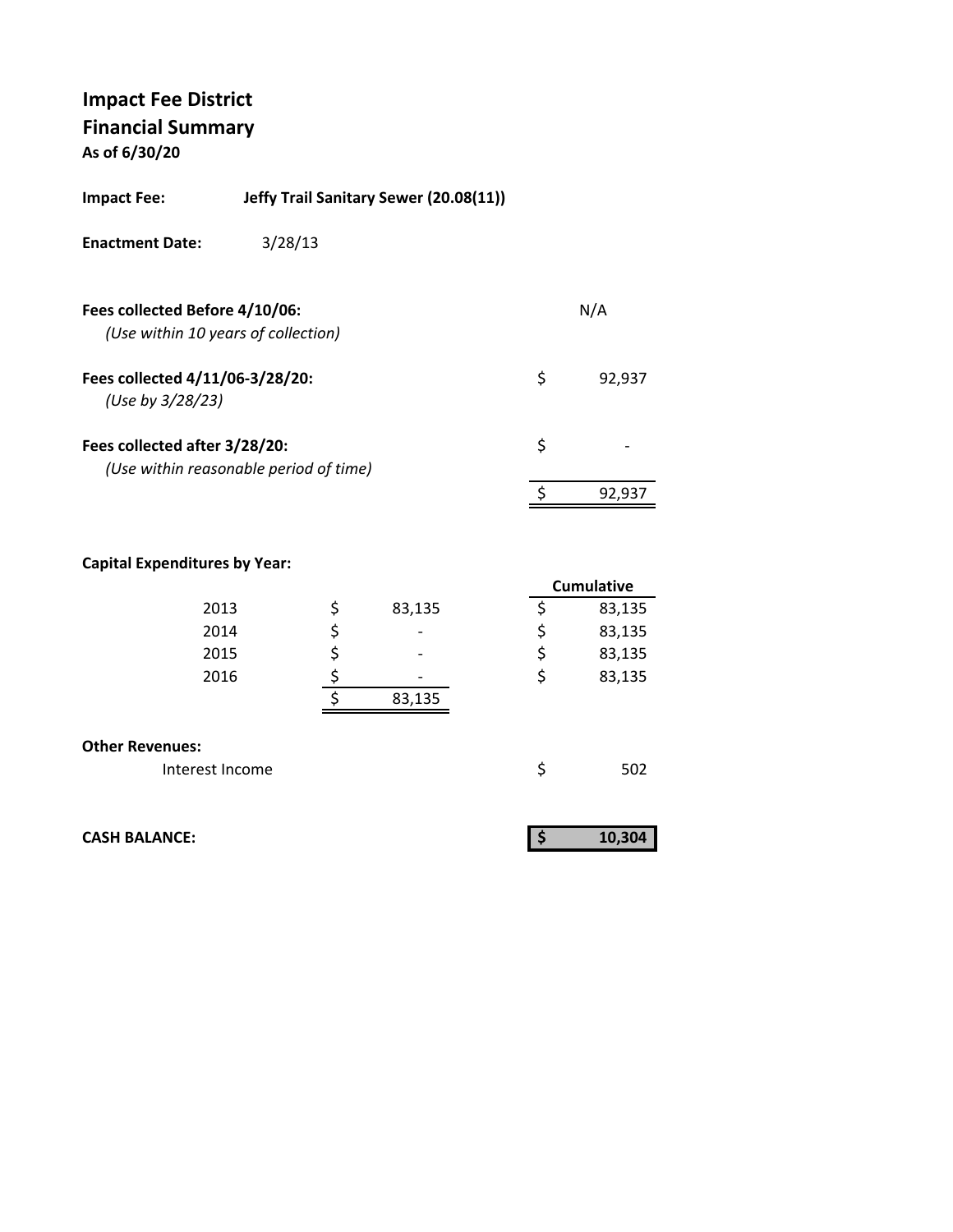**As of 6/30/20**

| <b>Impact Fee:</b>                                  | Jeffy Trail Sanitary Sewer (20.08(11)) |              |
|-----------------------------------------------------|----------------------------------------|--------------|
| <b>Enactment Date:</b>                              | 3/28/13                                |              |
| Fees collected Before 4/10/06:                      | (Use within 10 years of collection)    | N/A          |
| Fees collected 4/11/06-3/28/20:<br>(Use by 3/28/23) |                                        | \$<br>92,937 |
| Fees collected after 3/28/20:                       | (Use within reasonable period of time) | \$           |
|                                                     |                                        | 92,937       |
|                                                     |                                        |              |

### **Capital Expenditures by Year:**

|                        |              |    | <b>Cumulative</b> |
|------------------------|--------------|----|-------------------|
| 2013                   | \$<br>83,135 | Ş  | 83,135            |
| 2014                   | \$           | \$ | 83,135            |
| 2015                   | \$           | \$ | 83,135            |
| 2016                   |              | \$ | 83,135            |
|                        | 83,135       |    |                   |
|                        |              |    |                   |
| <b>Other Revenues:</b> |              |    |                   |
| Interest Income        |              | \$ | 502               |

| <b>CASH BALANCE:</b> |  |  |
|----------------------|--|--|
|----------------------|--|--|

| <b>CASH BALANCE:</b> | 10,304 |
|----------------------|--------|
|                      |        |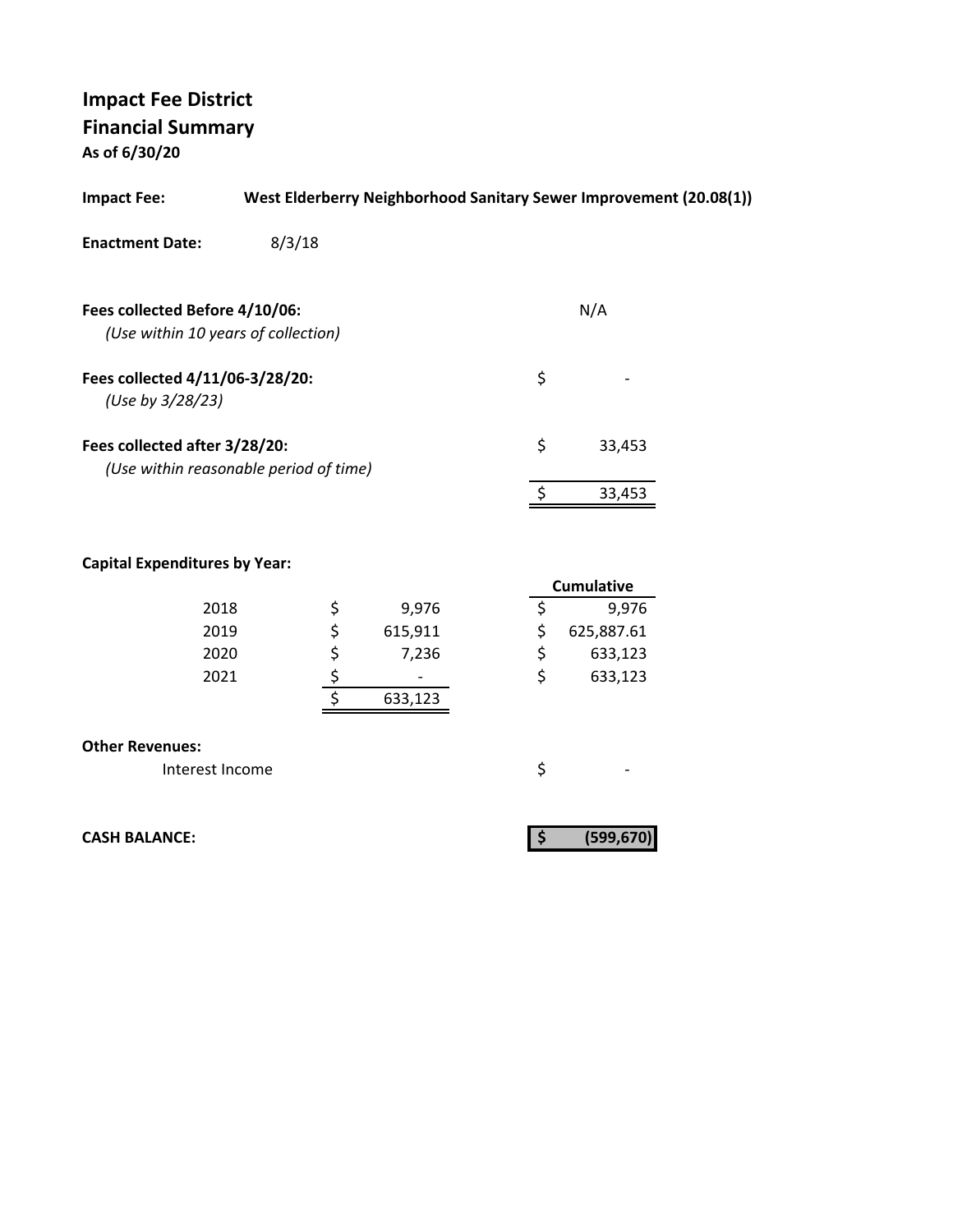**As of 6/30/20**

| <b>Impact Fee:</b>                                                      |        |          |                  |          | West Elderberry Neighborhood Sanitary Sewer Improvement (20.08(1)) |  |
|-------------------------------------------------------------------------|--------|----------|------------------|----------|--------------------------------------------------------------------|--|
| <b>Enactment Date:</b>                                                  | 8/3/18 |          |                  |          |                                                                    |  |
|                                                                         |        |          |                  |          |                                                                    |  |
| Fees collected Before 4/10/06:                                          |        |          |                  |          | N/A                                                                |  |
| (Use within 10 years of collection)                                     |        |          |                  |          |                                                                    |  |
| Fees collected 4/11/06-3/28/20:<br>(Use by 3/28/23)                     |        |          |                  | \$       |                                                                    |  |
| Fees collected after 3/28/20:<br>(Use within reasonable period of time) |        |          |                  | \$       | 33,453                                                             |  |
|                                                                         |        |          |                  | \$       | 33,453                                                             |  |
| <b>Capital Expenditures by Year:</b>                                    |        |          |                  |          |                                                                    |  |
|                                                                         |        |          |                  |          | <b>Cumulative</b>                                                  |  |
| 2018<br>2019                                                            |        |          | 9,976            | \$       | 9,976                                                              |  |
| 2020                                                                    |        |          | 615,911<br>7,236 | \$<br>\$ | 625,887.61<br>633,123                                              |  |
| 2021                                                                    |        |          |                  | \$       | 633,123                                                            |  |
|                                                                         |        | \$\$\$\$ | 633,123          |          |                                                                    |  |
| <b>Other Revenues:</b>                                                  |        |          |                  |          |                                                                    |  |
| Interest Income                                                         |        |          |                  | \$       |                                                                    |  |
| <b>CASH BALANCE:</b>                                                    |        |          |                  | \$       | (599,670                                                           |  |